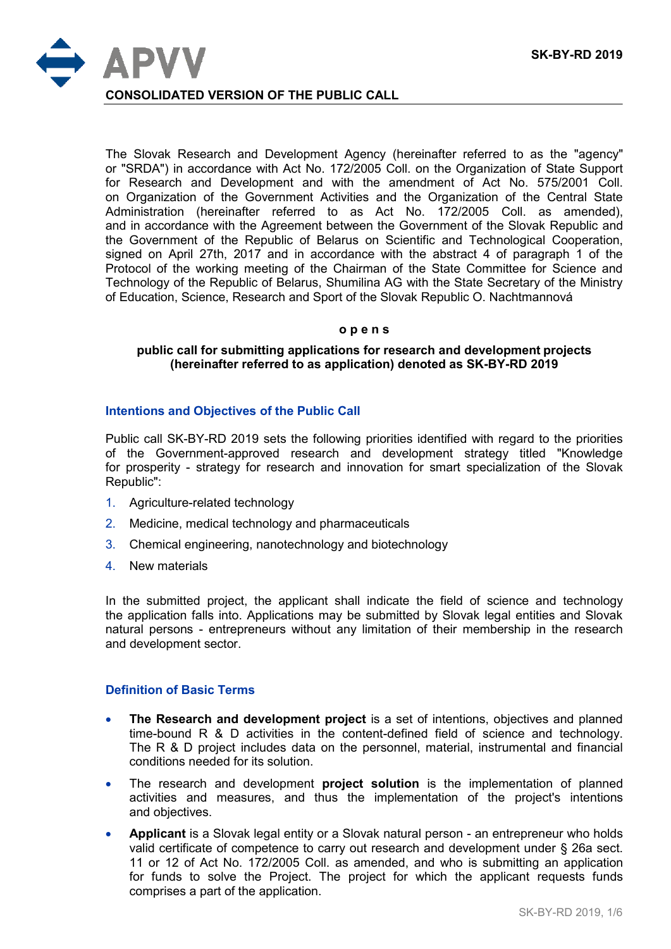

The Slovak Research and Development Agency (hereinafter referred to as the "agency" or "SRDA") in accordance with Act No. 172/2005 Coll. on the Organization of State Support for Research and Development and with the amendment of Act No. 575/2001 Coll. on Organization of the Government Activities and the Organization of the Central State Administration (hereinafter referred to as Act No. 172/2005 Coll. as amended), and in accordance with the Agreement between the Government of the Slovak Republic and the Government of the Republic of Belarus on Scientific and Technological Cooperation, signed on April 27th, 2017 and in accordance with the abstract 4 of paragraph 1 of the Protocol of the working meeting of the Chairman of the State Committee for Science and Technology of the Republic of Belarus, Shumilina AG with the State Secretary of the Ministry of Education, Science, Research and Sport of the Slovak Republic O. Nachtmannová

#### **o p e n s**

#### **public call for submitting applications for research and development projects (hereinafter referred to as application) denoted as SK-BY-RD 2019**

# **Intentions and Objectives of the Public Call**

Public call SK-BY-RD 2019 sets the following priorities identified with regard to the priorities of the Government-approved research and development strategy titled "Knowledge for prosperity - strategy for research and innovation for smart specialization of the Slovak Republic":

- 1. Agriculture-related technology
- 2. Medicine, medical technology and pharmaceuticals
- 3. Chemical engineering, nanotechnology and biotechnology
- 4. New materials

In the submitted project, the applicant shall indicate the field of science and technology the application falls into. Applications may be submitted by Slovak legal entities and Slovak natural persons - entrepreneurs without any limitation of their membership in the research and development sector.

### **Definition of Basic Terms**

- **The Research and development project** is a set of intentions, objectives and planned time-bound R & D activities in the content-defined field of science and technology. The R & D project includes data on the personnel, material, instrumental and financial conditions needed for its solution.
- The research and development **project solution** is the implementation of planned activities and measures, and thus the implementation of the project's intentions and objectives.
- **Applicant** is a Slovak legal entity or a Slovak natural person an entrepreneur who holds valid certificate of competence to carry out research and development under § 26a sect. 11 or 12 of Act No. 172/2005 Coll. as amended, and who is submitting an application for funds to solve the Project. The project for which the applicant requests funds comprises a part of the application.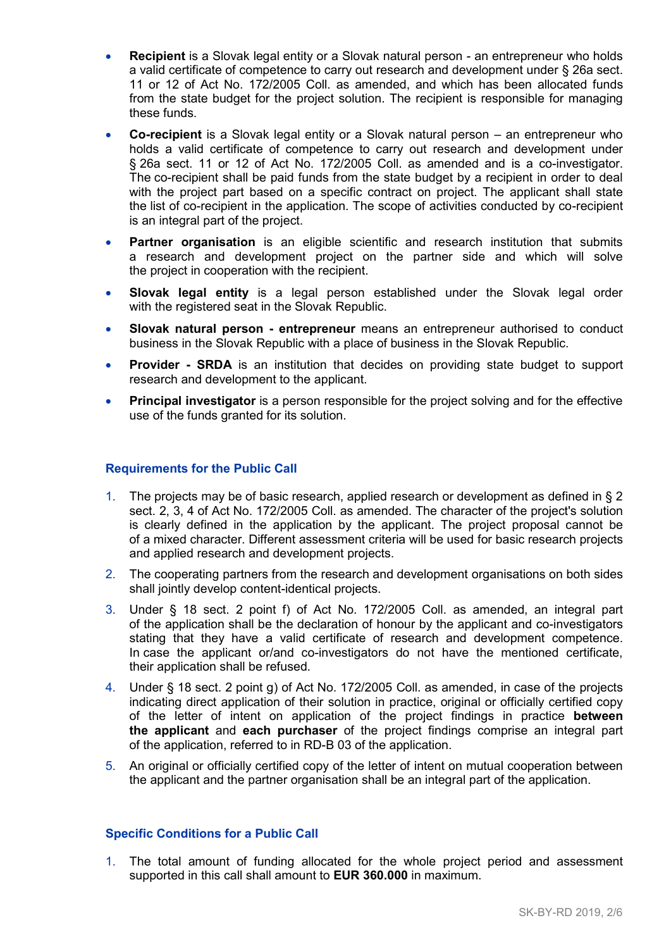- **Recipient** is a Slovak legal entity or a Slovak natural person an entrepreneur who holds a valid certificate of competence to carry out research and development under § 26a sect. 11 or 12 of Act No. 172/2005 Coll. as amended, and which has been allocated funds from the state budget for the project solution. The recipient is responsible for managing these funds.
- **Co-recipient** is a Slovak legal entity or a Slovak natural person an entrepreneur who holds a valid certificate of competence to carry out research and development under § 26a sect. 11 or 12 of Act No. 172/2005 Coll. as amended and is a co-investigator. The co-recipient shall be paid funds from the state budget by a recipient in order to deal with the project part based on a specific contract on project. The applicant shall state the list of co-recipient in the application. The scope of activities conducted by co-recipient is an integral part of the project.
- **Partner organisation** is an eligible scientific and research institution that submits a research and development project on the partner side and which will solve the project in cooperation with the recipient.
- **Slovak legal entity** is a legal person established under the Slovak legal order with the registered seat in the Slovak Republic.
- **Slovak natural person - entrepreneur** means an entrepreneur authorised to conduct business in the Slovak Republic with a place of business in the Slovak Republic.
- **Provider - SRDA** is an institution that decides on providing state budget to support research and development to the applicant.
- **Principal investigator** is a person responsible for the project solving and for the effective use of the funds granted for its solution.

# **Requirements for the Public Call**

- 1. The projects may be of basic research, applied research or development as defined in § 2 sect. 2, 3, 4 of Act No. 172/2005 Coll. as amended. The character of the project's solution is clearly defined in the application by the applicant. The project proposal cannot be of a mixed character. Different assessment criteria will be used for basic research projects and applied research and development projects.
- 2. The cooperating partners from the research and development organisations on both sides shall jointly develop content-identical projects.
- 3. Under § 18 sect. 2 point f) of Act No. 172/2005 Coll. as amended, an integral part of the application shall be the declaration of honour by the applicant and co-investigators stating that they have a valid certificate of research and development competence. In case the applicant or/and co-investigators do not have the mentioned certificate, their application shall be refused.
- 4. Under § 18 sect. 2 point g) of Act No. 172/2005 Coll. as amended, in case of the projects indicating direct application of their solution in practice, original or officially certified copy of the letter of intent on application of the project findings in practice **between the applicant** and **each purchaser** of the project findings comprise an integral part of the application, referred to in RD-B 03 of the application.
- 5. An original or officially certified copy of the letter of intent on mutual cooperation between the applicant and the partner organisation shall be an integral part of the application.

# **Specific Conditions for a Public Call**

1. The total amount of funding allocated for the whole project period and assessment supported in this call shall amount to **EUR 360.000** in maximum.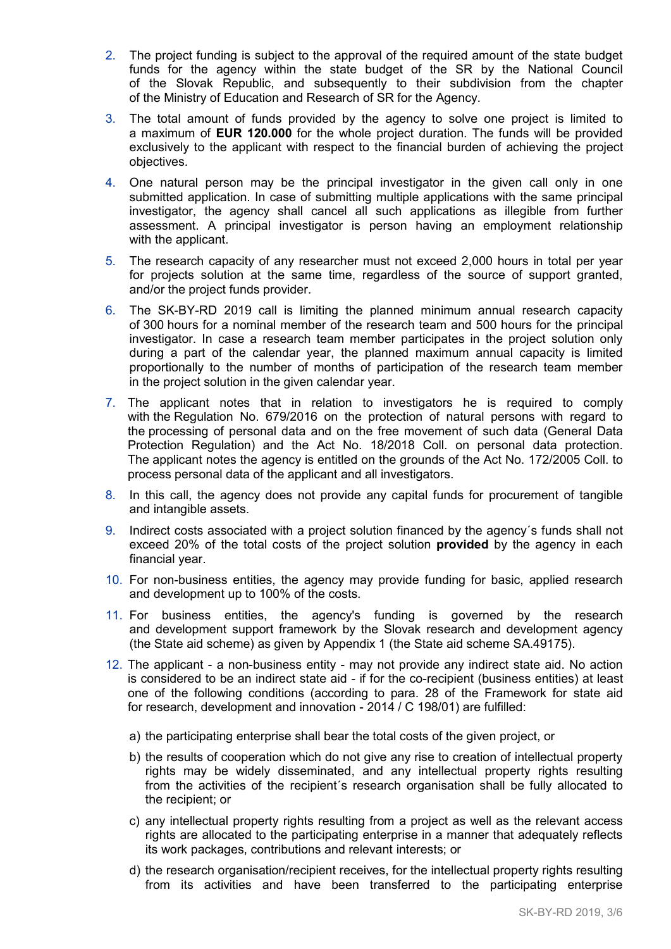- 2. The project funding is subject to the approval of the required amount of the state budget funds for the agency within the state budget of the SR by the National Council of the Slovak Republic, and subsequently to their subdivision from the chapter of the Ministry of Education and Research of SR for the Agency.
- 3. The total amount of funds provided by the agency to solve one project is limited to a maximum of **EUR 120.000** for the whole project duration. The funds will be provided exclusively to the applicant with respect to the financial burden of achieving the project objectives.
- 4. One natural person may be the principal investigator in the given call only in one submitted application. In case of submitting multiple applications with the same principal investigator, the agency shall cancel all such applications as illegible from further assessment. A principal investigator is person having an employment relationship with the applicant.
- 5. The research capacity of any researcher must not exceed 2,000 hours in total per year for projects solution at the same time, regardless of the source of support granted, and/or the project funds provider.
- 6. The SK-BY-RD 2019 call is limiting the planned minimum annual research capacity of 300 hours for a nominal member of the research team and 500 hours for the principal investigator. In case a research team member participates in the project solution only during a part of the calendar year, the planned maximum annual capacity is limited proportionally to the number of months of participation of the research team member in the project solution in the given calendar year.
- 7. The applicant notes that in relation to investigators he is required to comply with the Regulation No. 679/2016 on the protection of natural persons with regard to the processing of personal data and on the free movement of such data (General Data Protection Regulation) and the Act No. 18/2018 Coll. on personal data protection. The applicant notes the agency is entitled on the grounds of the Act No. 172/2005 Coll. to process personal data of the applicant and all investigators.
- 8. In this call, the agency does not provide any capital funds for procurement of tangible and intangible assets.
- 9. Indirect costs associated with a project solution financed by the agency´s funds shall not exceed 20% of the total costs of the project solution **provided** by the agency in each financial year.
- 10. For non-business entities, the agency may provide funding for basic, applied research and development up to 100% of the costs.
- 11. For business entities, the agency's funding is governed by the research and development support framework by the Slovak research and development agency (the State aid scheme) as given by Appendix 1 (the State aid scheme SA.49175).
- 12. The applicant a non-business entity may not provide any indirect state aid. No action is considered to be an indirect state aid - if for the co-recipient (business entities) at least one of the following conditions (according to para. 28 of the Framework for state aid for research, development and innovation - 2014 / C 198/01) are fulfilled:
	- a) the participating enterprise shall bear the total costs of the given project, or
	- b) the results of cooperation which do not give any rise to creation of intellectual property rights may be widely disseminated, and any intellectual property rights resulting from the activities of the recipient´s research organisation shall be fully allocated to the recipient; or
	- c) any intellectual property rights resulting from a project as well as the relevant access rights are allocated to the participating enterprise in a manner that adequately reflects its work packages, contributions and relevant interests; or
	- d) the research organisation/recipient receives, for the intellectual property rights resulting from its activities and have been transferred to the participating enterprise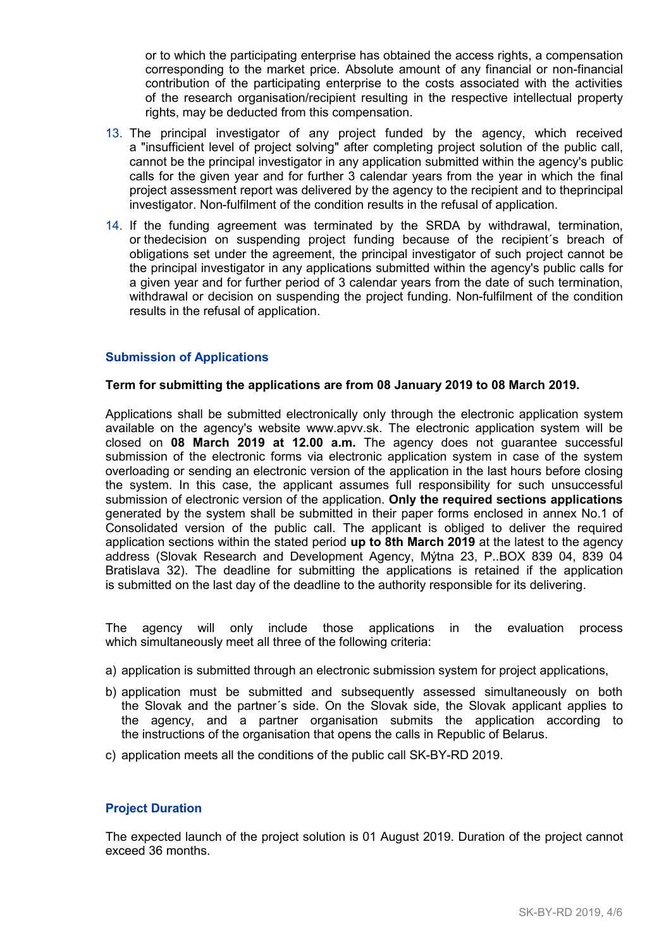or to which the participating enterprise has obtained the access rights, a compensation corresponding to the market price. Absolute amount of any financial or non-financial contribution of the participating enterprise to the costs associated with the activities of the research organisation/recipient resulting in the respective intellectual property rights, may be deducted from this compensation.

- 13. The principal investigator of any project funded by the agency, which received a "insufficient level of project solving" after completing project solution of the public call, cannot be the principal investigator in any application submitted within the agency's public calls for the given year and for further 3 calendar years from the year in which the final project assessment report was delivered by the agency to the recipient and to theprincipal investigator. Non-fulfilment of the condition results in the refusal of application.
- 14. If the funding agreement was terminated by the SRDA by withdrawal, termination, or thedecision on suspending project funding because of the recipient´s breach of obligations set under the agreement, the principal investigator of such project cannot be the principal investigator in any applications submitted within the agency's public calls for a given year and for further period of 3 calendar years from the date of such termination, withdrawal or decision on suspending the project funding. Non-fulfilment of the condition results in the refusal of application.

## **Submission of Applications**

### **Term for submitting the applications are from 08 January 2019 to 08 March 2019.**

Applications shall be submitted electronically only through the electronic application system available on the agency's website www.apvv.sk. The electronic application system will be closed on **08 March 2019 at 12.00 a.m.** The agency does not guarantee successful submission of the electronic forms via electronic application system in case of the system overloading or sending an electronic version of the application in the last hours before closing the system. In this case, the applicant assumes full responsibility for such unsuccessful submission of electronic version of the application. **Only the required sections applications** generated by the system shall be submitted in their paper forms enclosed in annex No.1 of Consolidated version of the public call. The applicant is obliged to deliver the required application sections within the stated period **up to 8th March 2019** at the latest to the agency address (Slovak Research and Development Agency, Mýtna 23, P..BOX 839 04, 839 04 Bratislava 32). The deadline for submitting the applications is retained if the application is submitted on the last day of the deadline to the authority responsible for its delivering.

The agency will only include those applications in the evaluation process which simultaneously meet all three of the following criteria:

- a) application is submitted through an electronic submission system for project applications,
- b) application must be submitted and subsequently assessed simultaneously on both the Slovak and the partner´s side. On the Slovak side, the Slovak applicant applies to the agency, and a partner organisation submits the application according to the instructions of the organisation that opens the calls in Republic of Belarus.
- c) application meets all the conditions of the public call SK-BY-RD 2019.

### **Project Duration**

The expected launch of the project solution is 01 August 2019. Duration of the project cannot exceed 36 months.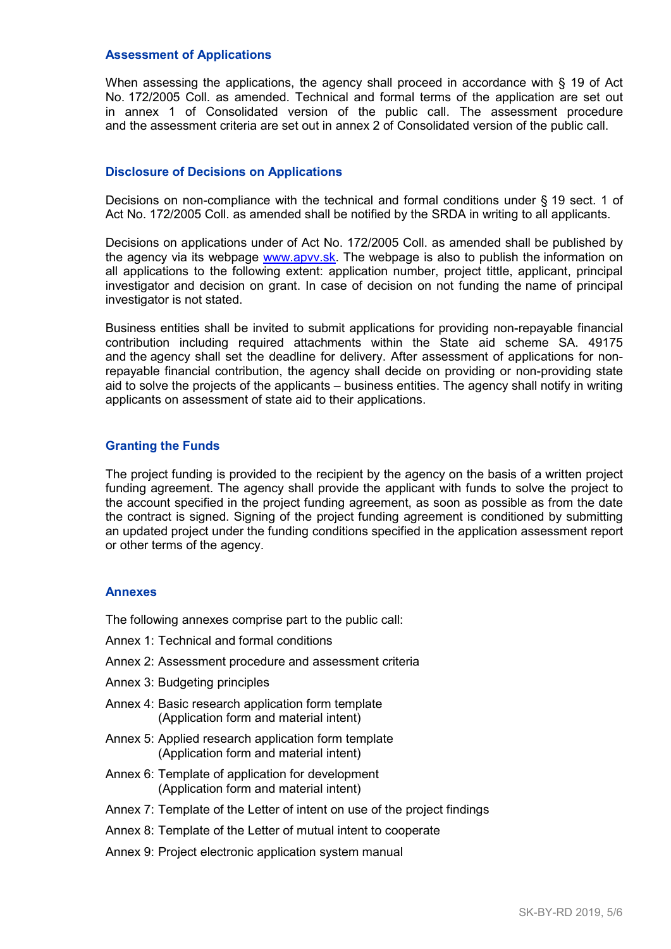#### **Assessment of Applications**

When assessing the applications, the agency shall proceed in accordance with § 19 of Act No. 172/2005 Coll. as amended. Technical and formal terms of the application are set out in annex 1 of Consolidated version of the public call. The assessment procedure and the assessment criteria are set out in annex 2 of Consolidated version of the public call.

#### **Disclosure of Decisions on Applications**

Decisions on non-compliance with the technical and formal conditions under § 19 sect. 1 of Act No. 172/2005 Coll. as amended shall be notified by the SRDA in writing to all applicants.

Decisions on applications under of Act No. 172/2005 Coll. as amended shall be published by the agency via its webpage [www.apvv.sk.](http://www.apvv.sk/) The webpage is also to publish the information on all applications to the following extent: application number, project tittle, applicant, principal investigator and decision on grant. In case of decision on not funding the name of principal investigator is not stated.

Business entities shall be invited to submit applications for providing non-repayable financial contribution including required attachments within the State aid scheme SA. 49175 and the agency shall set the deadline for delivery. After assessment of applications for nonrepayable financial contribution, the agency shall decide on providing or non-providing state aid to solve the projects of the applicants – business entities. The agency shall notify in writing applicants on assessment of state aid to their applications.

#### **Granting the Funds**

The project funding is provided to the recipient by the agency on the basis of a written project funding agreement. The agency shall provide the applicant with funds to solve the project to the account specified in the project funding agreement, as soon as possible as from the date the contract is signed. Signing of the project funding agreement is conditioned by submitting an updated project under the funding conditions specified in the application assessment report or other terms of the agency.

#### **Annexes**

The following annexes comprise part to the public call:

- Annex 1: Technical and formal conditions
- Annex 2: Assessment procedure and assessment criteria
- Annex 3: Budgeting principles
- Annex 4: Basic research application form template (Application form and material intent)
- Annex 5: Applied research application form template (Application form and material intent)
- Annex 6: Template of application for development (Application form and material intent)
- Annex 7: Template of the Letter of intent on use of the project findings
- Annex 8: Template of the Letter of mutual intent to cooperate
- Annex 9: Project electronic application system manual